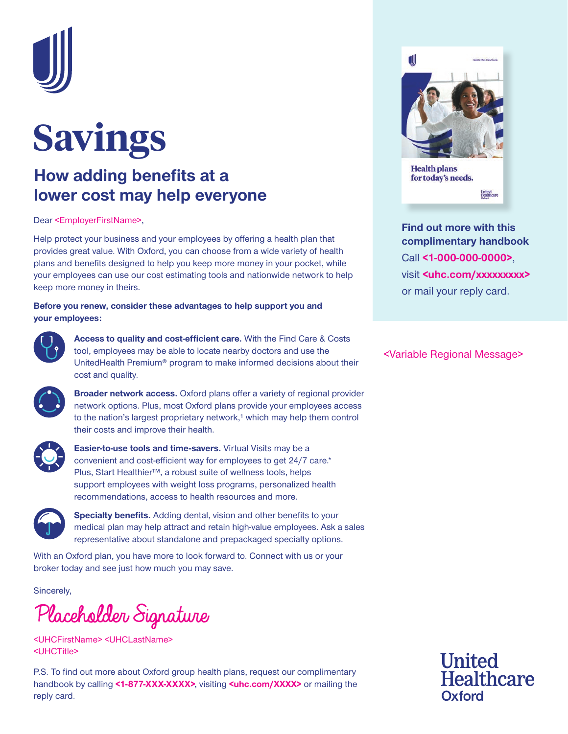

## **Savings**

## **How adding benefits at a lower cost may help everyone**

Dear <EmployerFirstName>,

Help protect your business and your employees by offering a health plan that provides great value. With Oxford, you can choose from a wide variety of health plans and benefits designed to help you keep more money in your pocket, while your employees can use our cost estimating tools and nationwide network to help keep more money in theirs.

### **Before you renew, consider these advantages to help support you and your employees:**



**Access to quality and cost-efficient care.** With the Find Care & Costs tool, employees may be able to locate nearby doctors and use the UnitedHealth Premium® program to make informed decisions about their cost and quality.



**Broader network access.** Oxford plans offer a variety of regional provider network options. Plus, most Oxford plans provide your employees access to the nation's largest proprietary network,<sup>1</sup> which may help them control their costs and improve their health.



**Easier-to-use tools and time-savers.** Virtual Visits may be a convenient and cost-efficient way for employees to get 24/7 care.\* Plus, Start Healthier™, a robust suite of wellness tools, helps support employees with weight loss programs, personalized health recommendations, access to health resources and more.



**Specialty benefits.** Adding dental, vision and other benefits to your medical plan may help attract and retain high-value employees. Ask a sales representative about standalone and prepackaged specialty options.

With an Oxford plan, you have more to look forward to. Connect with us or your broker today and see just how much you may save.

Sincerely,

Placeholder Signature

<UHCFirstName> <UHCLastName> <UHCTitle>

P.S. To find out more about Oxford group health plans, request our complimentary handbook by calling **<1-877-XXX-XXXX>**, visiting **<uhc.com/XXXX>** or mailing the reply card.



**Find out more with this complimentary handbook** Call **<1-000-000-0000>**, visit **<uhc.com/xxxxxxxx>** or mail your reply card.

<Variable Regional Message>

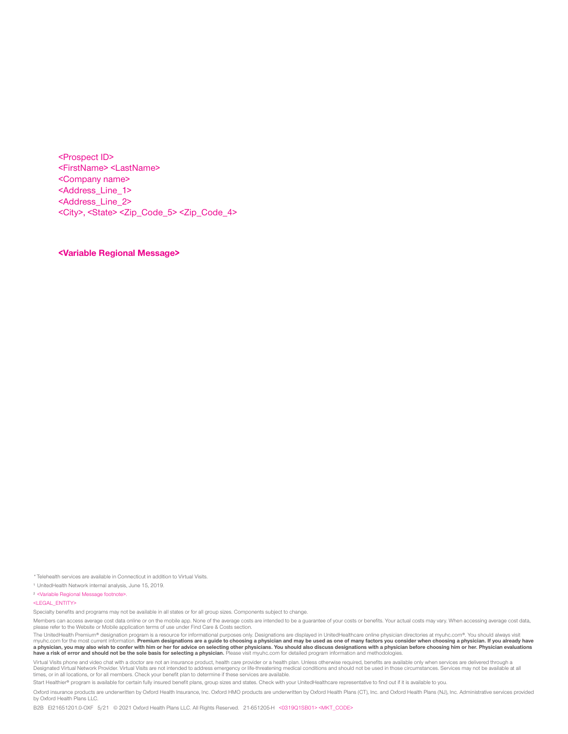<Prospect ID> <FirstName> <LastName> <Company name> <Address\_Line\_1> <Address\_Line\_2> <City>, <State> <Zip\_Code\_5> <Zip\_Code\_4>

**<Variable Regional Message>**

\*Telehealth services are available in Connecticut in addition to Virtual Visits.

<sup>1</sup> UnitedHealth Network internal analysis, June 15, 2019.

<sup>2</sup> <Variable Regional Message footnote>.

<LEGAL\_ENTITY>

Specialty benefits and programs may not be available in all states or for all group sizes. Components subject to change.

Members can access average cost data online or on the mobile app. None of the average costs are intended to be a guarantee of your costs or benefits. Your actual costs may vary. When accessing average cost data, please refer to the Website or Mobile application terms of use under Find Care & Costs section.

The UnitedHealth Premium® designation program is a resource for informational purposes only. Designations are displayed in UnitedHealthcare online physician directories at myuhc.com®. You should always visit myuhc.com for the most current information. **Premium designations are a guide to choosing a physician and may be used as one of many factors you consider when choosing a physician. If you already have**  a physician, you may also wish to confer with him or her for advice on selecting other physicians. You should also discuss designations with a physician before choosing him or her. Physician evaluations<br>have a risk of err

Virtual Visits phone and video chat with a doctor are not an insurance product, health care provider or a health plan. Unless otherwise required, benefits are available only when services are delivered through a<br>Designated times, or in all locations, or for all members. Check your benefit plan to determine if these services are available.

Start Healthier® program is available for certain fully insured benefit plans, group sizes and states. Check with your UnitedHealthcare representative to find out if it is available to you.

Oxford insurance products are underwritten by Oxford Health Insurance, Inc. Oxford HMO products are underwritten by Oxford Health Plans (CT), Inc. and Oxford Health Plans (NJ), Inc. Administrative services provided by Oxford Health Plans LLC.

B2B EI21651201.0-OXF 5/21 © 2021 Oxford Health Plans LLC. All Rights Reserved. 21-651205-H <0319Q1SB01> <MKT\_CODE>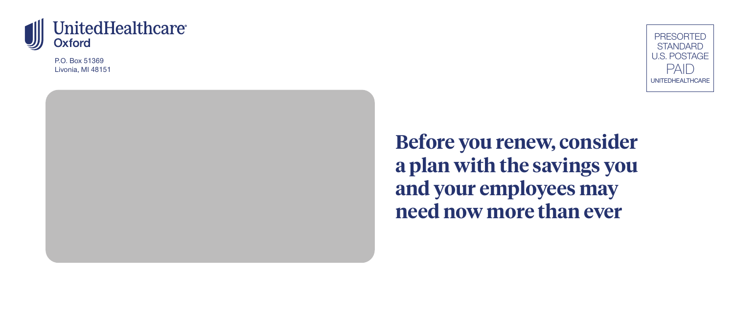

P.O. Box 51369 Livonia, MI 48151



**Before you renew, consider a plan with the savings you and your employees may need now more than ever**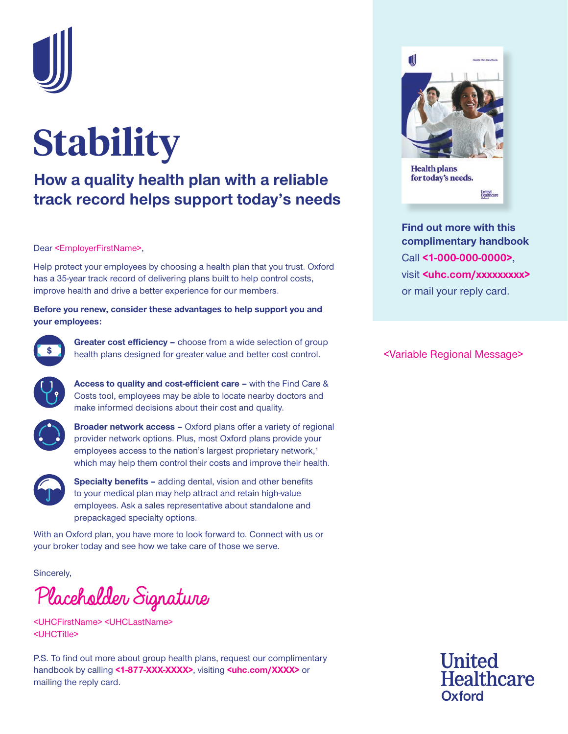

# **Stability**

## **How a quality health plan with a reliable track record helps support today's needs**

#### Dear <EmployerFirstName>,

Help protect your employees by choosing a health plan that you trust. Oxford has a 35-year track record of delivering plans built to help control costs, improve health and drive a better experience for our members.

#### **Before you renew, consider these advantages to help support you and your employees:**



**Greater cost efficiency –** choose from a wide selection of group health plans designed for greater value and better cost control.



**Access to quality and cost-efficient care –** with the Find Care & Costs tool, employees may be able to locate nearby doctors and make informed decisions about their cost and quality.



**Broader network access –** Oxford plans offer a variety of regional provider network options. Plus, most Oxford plans provide your employees access to the nation's largest proprietary network,<sup>1</sup> which may help them control their costs and improve their health.



**Specialty benefits –** adding dental, vision and other benefits to your medical plan may help attract and retain high-value employees. Ask a sales representative about standalone and prepackaged specialty options.

With an Oxford plan, you have more to look forward to. Connect with us or your broker today and see how we take care of those we serve.

Sincerely,

Placeholder Signature

<UHCFirstName> <UHCLastName> <UHCTitle>

P.S. To find out more about group health plans, request our complimentary handbook by calling **<1-877-XXX-XXXX>**, visiting **<uhc.com/XXXX>** or mailing the reply card.



**Find out more with this complimentary handbook** Call **<1-000-000-0000>**, visit **<uhc.com/xxxxxxxx>** or mail your reply card.

<Variable Regional Message>

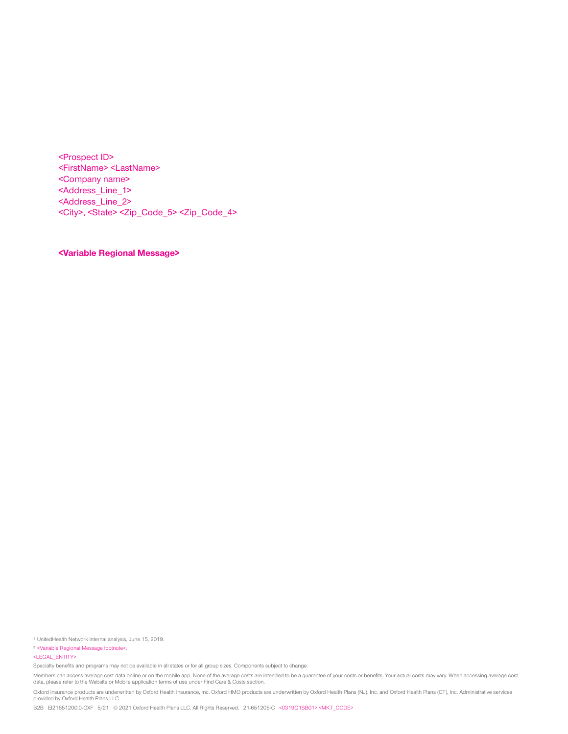<Prospect ID> <FirstName> <LastName> <Company name> <Address\_Line\_1> <Address\_Line\_2> <City>, <State> <Zip\_Code\_5> <Zip\_Code\_4>

**<Variable Regional Message>**

<sup>1</sup> UnitedHealth Network internal analysis, June 15, 2019.

<sup>2</sup> <Variable Regional Message footnote>.

<LEGAL\_ENTITY>

Specialty benefits and programs may not be available in all states or for all group sizes. Components subject to change.

Members can access average cost data online or on the mobile app. None of the average costs are intended to be a guarantee of your costs or benefits. Your actual costs may vary. When accessing average cost data, please refer to the Website or Mobile application terms of use under Find Care & Costs section.

Oxford insurance products are underwritten by Oxford Health Insurance, Inc. Oxford HMO products are underwritten by Oxford Health Plans (NJ), Inc. and Oxford Health Plans (CT), Inc. Administrative services provided by Oxford Health Plans LLC.

B2B EI21651200.0-OXF 5/21 © 2021 Oxford Health Plans LLC. All Rights Reserved. 21-651205-C <0319Q1SB01> <MKT\_CODE>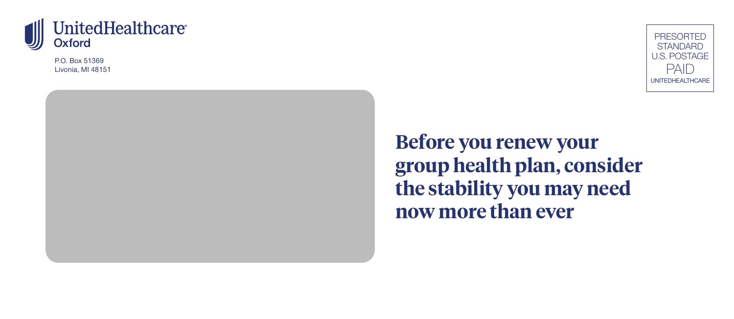

P.O. Box 51369 Livonia, MI 48151



**Before you renew your group health plan, consider the stability you may need now more than ever**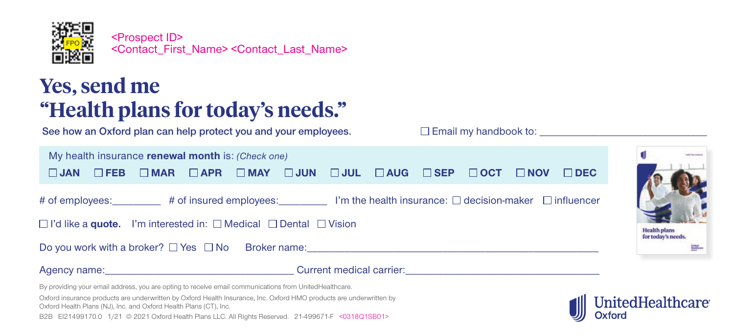

<Prospect ID> <Contact\_First\_Name> <Contact\_Last\_Name>

## **Yes, send me "Health plans for today's needs."**

**See how an Oxford plan can help protect you and your employees.**

 $\square$  Email my handbook to:

| My health insurance renewal month is: (Check one)                                                                                                                       |  |  |  |  |  |  |  |  |  |
|-------------------------------------------------------------------------------------------------------------------------------------------------------------------------|--|--|--|--|--|--|--|--|--|
| $\square$ FEB $\square$ MAR $\square$ APR $\square$ MAY $\square$ JUN $\square$ JUL $\square$ AUG $\square$ SEP $\square$ OCT $\square$ NOV $\square$ DEC<br>$\Box$ JAN |  |  |  |  |  |  |  |  |  |
|                                                                                                                                                                         |  |  |  |  |  |  |  |  |  |
| # of employees: $\qquad \qquad$ # of insured employees: $\qquad \qquad$ I'm the health insurance: $\Box$ decision-maker $\Box$ influencer                               |  |  |  |  |  |  |  |  |  |
| $\Box$ I'd like a <b>quote.</b> I'm interested in: $\Box$ Medical $\Box$ Dental $\Box$ Vision                                                                           |  |  |  |  |  |  |  |  |  |
| Do you work with a broker? $\Box$ Yes $\Box$ No Broker name:                                                                                                            |  |  |  |  |  |  |  |  |  |
|                                                                                                                                                                         |  |  |  |  |  |  |  |  |  |

By providing your email address, you are opting to receive email communications from UnitedHealthcare.

Oxford insurance products are underwritten by Oxford Health Insurance, Inc. Oxford HMO products are underwritten by Oxford Health Plans (NJ), Inc. and Oxford Health Plans (CT), Inc.

B2B EI21499170.0 1/21 © 2021 Oxford Health Plans LLC. All Rights Reserved. 21-499671-F <0318Q1SB01>



**Health plans** for today's needs.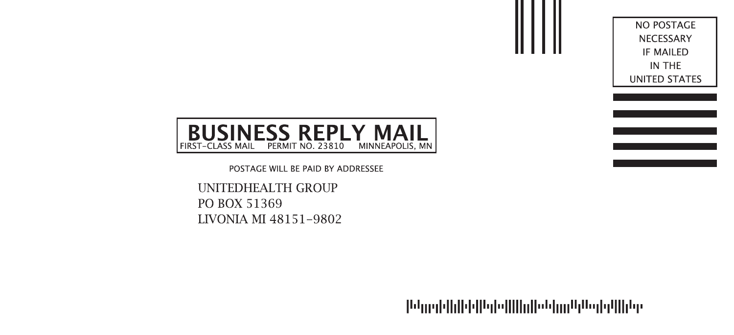NO POSTAGE NECESSARY IF MAILED IN THE UNITED STATES



POSTAGE WILL BE PAID BY ADDRESSEE

**UNITEDHEALTH GROUP** PO BOX 51369 LIVONIA MI 48151-9802

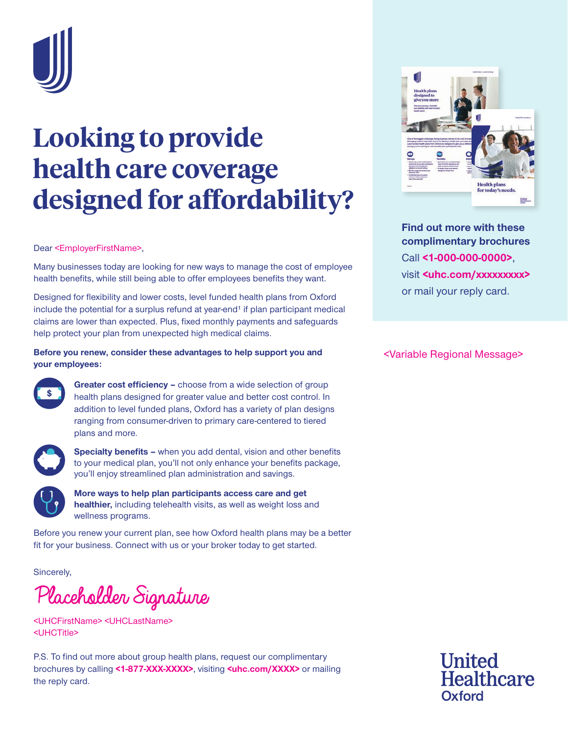

## **Looking to provide health care coverage designed for affordability?**

#### Dear <EmployerFirstName>,

Many businesses today are looking for new ways to manage the cost of employee health benefits, while still being able to offer employees benefits they want.

Designed for flexibility and lower costs, level funded health plans from Oxford include the potential for a surplus refund at year-end<sup>1</sup> if plan participant medical claims are lower than expected. Plus, fixed monthly payments and safeguards help protect your plan from unexpected high medical claims.

### **Before you renew, consider these advantages to help support you and your employees:**



**Greater cost efficiency –** choose from a wide selection of group health plans designed for greater value and better cost control. In addition to level funded plans, Oxford has a variety of plan designs ranging from consumer-driven to primary care-centered to tiered plans and more.



**Specialty benefits –** when you add dental, vision and other benefits to your medical plan, you'll not only enhance your benefits package, you'll enjoy streamlined plan administration and savings.



**More ways to help plan participants access care and get healthier,** including telehealth visits, as well as weight loss and wellness programs.

Before you renew your current plan, see how Oxford health plans may be a better fit for your business. Connect with us or your broker today to get started.

Sincerely,

Placeholder Signature

<UHCFirstName> <UHCLastName> <UHCTitle>

P.S. To find out more about group health plans, request our complimentary brochures by calling **<1-877-XXX-XXXX>**, visiting **<uhc.com/XXXX>** or mailing the reply card.



**Find out more with these complimentary brochures** Call **<1-000-000-0000>**, visit **<uhc.com/xxxxxxxx>** or mail your reply card.

<Variable Regional Message>

**United Healthcare** Oxford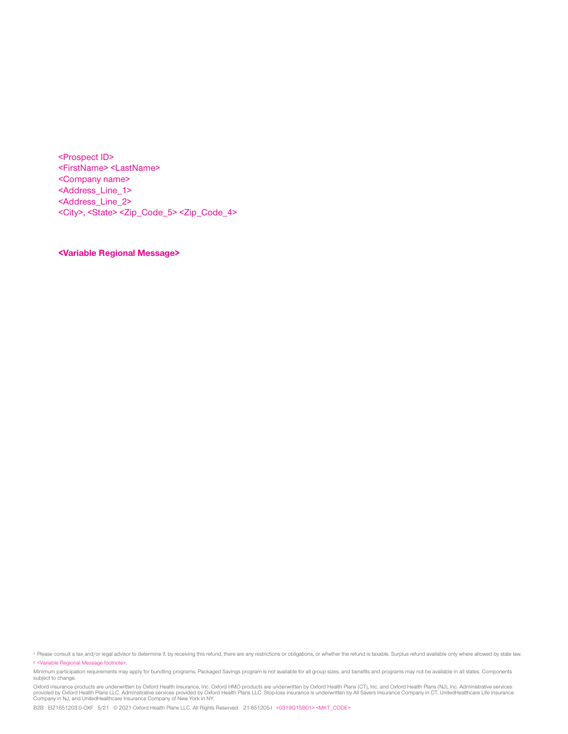<Prospect ID> <FirstName> <LastName> <Company name> <Address\_Line\_1> <Address\_Line\_2> <City>, <State> <Zip\_Code\_5> <Zip\_Code\_4>

**<Variable Regional Message>**

<sup>1</sup> Please consult a tax and/or legal advisor to determine if, by receiving this refund, there are any restrictions or obligations, or whether the refund is taxable. Surplus refund available only where allowed by state law. <sup>2</sup> <Variable Regional Message footnote>.

Minimum participation requirements may apply for bundling programs. Packaged Savings program is not available for all group sizes, and benefits and programs may not be available in all states. Components subject to change.

Oxford insurance products are underwritten by Oxford Health Insurance, Inc. Oxford HMO products are underwritten by Oxford Health Plans (CT), Inc. and Oxford Health Plans (NJ), Inc. Administrative services<br>provided by Oxfo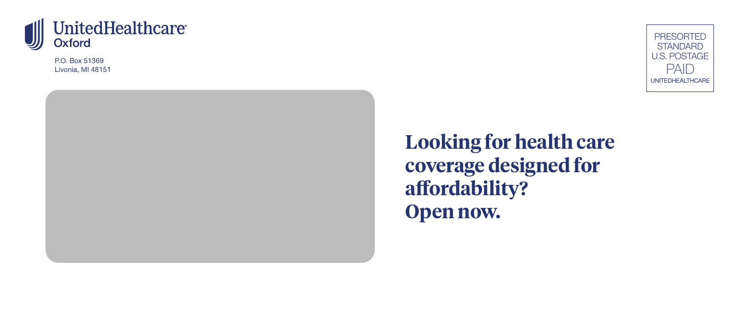

P.O. Box 51369 Livonia, MI 48151



**Looking for health care coverage designed for affordability? Open now.**

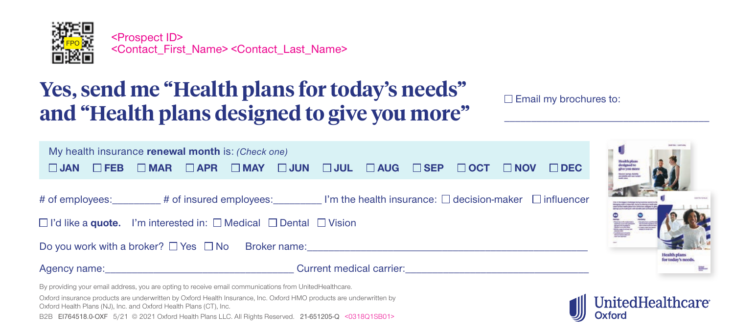

## **Yes, send me "Health plans for today's needs" and "Health plans designed to give you more"**

\_\_\_\_\_\_\_\_\_\_\_\_\_\_\_\_\_\_\_\_\_\_\_\_\_\_\_\_\_\_\_\_\_\_\_\_\_\_

| My health insurance renewal month is: (Check one)                                                                                              |            |                                                                              |  |  |  |  |  |  |            |            |            |
|------------------------------------------------------------------------------------------------------------------------------------------------|------------|------------------------------------------------------------------------------|--|--|--|--|--|--|------------|------------|------------|
| $\Box$ JAN                                                                                                                                     | $\Box$ FEB | $\Box$ MAR $\Box$ APR $\Box$ MAY $\Box$ JUN $\Box$ JUL $\Box$ AUG $\Box$ SEP |  |  |  |  |  |  | $\Box$ OCT | $\Box$ NOV | $\Box$ DEC |
| # of employees: $\blacksquare$ # of insured employees: $\blacksquare$ imerges in the health insurance: $\Box$ decision-maker $\Box$ influencer |            |                                                                              |  |  |  |  |  |  |            |            |            |
| $\Box$ I'd like a <b>quote.</b> I'm interested in: $\Box$ Medical $\Box$ Dental $\Box$ Vision                                                  |            |                                                                              |  |  |  |  |  |  |            |            |            |
| Do you work with a broker? $\Box$ Yes $\Box$ No Broker name:                                                                                   |            |                                                                              |  |  |  |  |  |  |            |            |            |
|                                                                                                                                                |            |                                                                              |  |  |  |  |  |  |            |            |            |
| By providing your email address, you are opting to receive email communications from UnitedHealthcare.                                         |            |                                                                              |  |  |  |  |  |  |            |            |            |



tealth plans for today's need

Oxford insurance products are underwritten by Oxford Health Insurance, Inc. Oxford HMO products are underwritten by Oxford Health Plans (NJ), Inc. and Oxford Health Plans (CT), Inc.

B2B EI764518.0-OXF 5/21 © 2021 Oxford Health Plans LLC. All Rights Reserved. 21-651205-Q <0318Q1SB01>